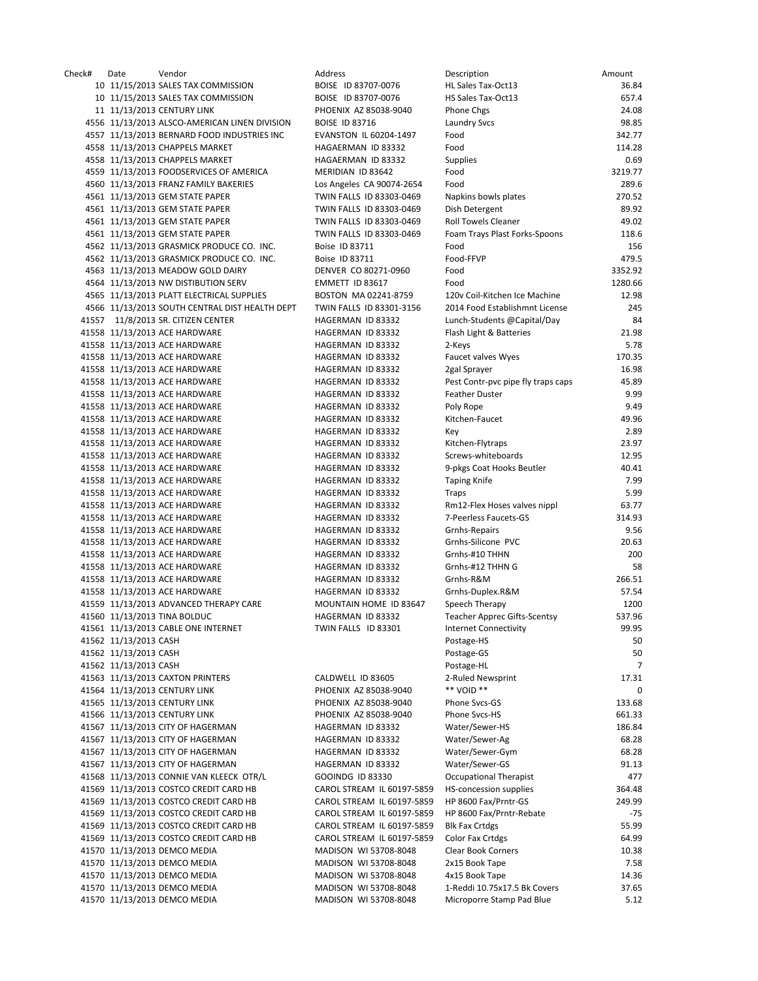Check# Date Vendor Address Description Amount 10 11/15/2013 SALES TAX COMMISSION BOISE ID 83707-0076 10 11/15/2013 SALES TAX COMMISSION BOISE ID 83707-0076 11 11/13/2013 CENTURY LINK PHOENIX AZ 85038-9040 4556 11/13/2013 ALSCO-AMERICAN LINEN DIVISION BOISE ID 83716 4557 11/13/2013 BERNARD FOOD INDUSTRIES INC EVANSTON IL 60204-1497 4558 11/13/2013 CHAPPELS MARKET HAGAERMAN ID 83332 4558 11/13/2013 CHAPPELS MARKET HAGAERMAN ID 83332 4559 11/13/2013 FOODSERVICES OF AMERICA MERIDIAN ID 83642 4560 11/13/2013 FRANZ FAMILY BAKERIES Los Angeles CA 90074-2654 4561 11/13/2013 GEM STATE PAPER TWIN FALLS ID 83303-0469 4561 11/13/2013 GEM STATE PAPER TWIN FALLS ID 83303-0469 4561 11/13/2013 GEM STATE PAPER TWIN FALLS ID 83303-0469 4561 11/13/2013 GEM STATE PAPER TWIN FALLS ID 83303-0469 4562 11/13/2013 GRASMICK PRODUCE CO. INC. Boise ID 83711 4562 11/13/2013 GRASMICK PRODUCE CO. INC. Boise ID 83711 4563 11/13/2013 MEADOW GOLD DAIRY DENVER CO 80271-0960 4564 11/13/2013 NW DISTIBUTION SERV EMMETT ID 83617 4565 11/13/2013 PLATT ELECTRICAL SUPPLIES BOSTON MA 02241-8759 4566 11/13/2013 SOUTH CENTRAL DIST HEALTH DEPT TWIN FALLS ID 83301-3156 41557 11/8/2013 SR. CITIZEN CENTER HAGERMAN ID 83332 41558 11/13/2013 ACE HARDWARE HAGERMAN ID 83332 41558 11/13/2013 ACE HARDWARE HAGERMAN ID 83332 41558 11/13/2013 ACE HARDWARE HAGERMAN ID 83332 41558 11/13/2013 ACE HARDWARE HAGERMAN ID 83332 41558 11/13/2013 ACE HARDWARE HAGERMAN ID 83332 41558 11/13/2013 ACE HARDWARE HAGERMAN ID 83332 41558 11/13/2013 ACE HARDWARE HAGERMAN ID 83332 41558 11/13/2013 ACE HARDWARE HAGERMAN ID 83332 41558 11/13/2013 ACE HARDWARE HAGERMAN ID 83332 41558 11/13/2013 ACE HARDWARE HAGERMAN ID 83332 41558 11/13/2013 ACE HARDWARE HAGERMAN ID 83332 41558 11/13/2013 ACE HARDWARE HAGERMAN ID 83332 41558 11/13/2013 ACE HARDWARE HAGERMAN ID 83332 41558 11/13/2013 ACE HARDWARE HAGERMAN ID 83332 41558 11/13/2013 ACE HARDWARE HAGERMAN ID 83332 41558 11/13/2013 ACE HARDWARE HAGERMAN ID 83332 41558 11/13/2013 ACE HARDWARE HAGERMAN ID 83332 41558 11/13/2013 ACE HARDWARE HAGERMAN ID 83332 41558 11/13/2013 ACE HARDWARE HAGERMAN ID 83332 41558 11/13/2013 ACE HARDWARE HAGERMAN ID 83332 41558 11/13/2013 ACE HARDWARE HAGERMAN ID 83332 41558 11/13/2013 ACE HARDWARE HAGERMAN ID 83332 41559 11/13/2013 ADVANCED THERAPY CARE MOUNTAIN HOME ID 83647 41560 11/13/2013 TINA BOLDUC HAGERMAN ID 83332 41561 11/13/2013 CABLE ONE INTERNET TWIN FALLS ID 83301 41562 11/13/2013 CASH 41562 11/13/2013 CASH 41562 11/13/2013 CASH 41563 11/13/2013 CAXTON PRINTERS CALDWELL ID 83605 41564 11/13/2013 CENTURY LINK PHOENIX AZ 85038-9040 41565 11/13/2013 CENTURY LINK PHOENIX AZ 85038-9040 41566 11/13/2013 CENTURY LINK PHOENIX AZ 85038-9040 41567 11/13/2013 CITY OF HAGERMAN MAGERMAN ID 83332 41567 11/13/2013 CITY OF HAGERMAN MAGERMAN ID 83332 41567 11/13/2013 CITY OF HAGERMAN HAGERMAN HAGERMAN ID 83332 41567 11/13/2013 CITY OF HAGERMAN HAGERMAN HAGERMAN ID 83332 41568 11/13/2013 CONNIE VAN KLEECK OTR/L GOOINDG ID 83330 41569 11/13/2013 COSTCO CREDIT CARD HB CAROL STREAM IL 60197-5859 41569 11/13/2013 COSTCO CREDIT CARD HB CAROL STREAM IL 60197-5859 41569 11/13/2013 COSTCO CREDIT CARD HB CAROL STREAM IL 60197-5859 41569 11/13/2013 COSTCO CREDIT CARD HB CAROL STREAM IL 60197-5859 41569 11/13/2013 COSTCO CREDIT CARD HB CAROL STREAM IL 60197-5859 41570 11/13/2013 DEMCO MEDIA MADISON WI 53708-8048 41570 11/13/2013 DEMCO MEDIA MADISON WI 53708-8048 41570 11/13/2013 DEMCO MEDIA MADISON WI 53708-8048 41570 11/13/2013 DEMCO MEDIA MADISON WI 53708-8048 41570 11/13/2013 DEMCO MEDIA MADISON WI 53708-8048

| Description                           | Amount         |
|---------------------------------------|----------------|
| HL Sales Tax-Oct13                    | 36.84          |
| HS Sales Tax-Oct13                    | 657.4          |
| Phone Chgs                            | 24.08          |
| <b>Laundry Svcs</b>                   | 98.85          |
| Food                                  | 342.77         |
| Food                                  | 114.28         |
| <b>Supplies</b>                       | 0.69           |
| Food                                  | 3219.77        |
| Food                                  | 289.6          |
| Napkins bowls plates                  | 270.52         |
| Dish Detergent                        | 89.92          |
| <b>Roll Towels Cleaner</b>            | 49.02<br>118.6 |
| Foam Trays Plast Forks-Spoons<br>Food | 156            |
| Food-FFVP                             | 479.5          |
| Food                                  | 3352.92        |
| Food                                  | 1280.66        |
| 120v Coil-Kitchen Ice Machine         | 12.98          |
| 2014 Food Establishmnt License        | 245            |
| Lunch-Students @Capital/Day           | 84             |
| Flash Light & Batteries               | 21.98          |
| 2-Keys                                | 5.78           |
| Faucet valves Wyes                    | 170.35         |
| 2gal Sprayer                          | 16.98          |
| Pest Contr-pvc pipe fly traps caps    | 45.89          |
| <b>Feather Duster</b>                 | 9.99           |
| Poly Rope                             | 9.49           |
| Kitchen-Faucet                        | 49.96          |
| Key                                   | 2.89           |
| Kitchen-Flytraps                      | 23.97          |
| Screws-whiteboards                    | 12.95          |
| 9-pkgs Coat Hooks Beutler             | 40.41          |
| <b>Taping Knife</b>                   | 7.99           |
| <b>Traps</b>                          | 5.99           |
| Rm12-Flex Hoses valves nippl          | 63.77          |
| 7-Peerless Faucets-GS                 | 314.93         |
| <b>Grnhs-Repairs</b>                  | 9.56           |
| Grnhs-Silicone PVC                    | 20.63          |
| Grnhs-#10 THHN                        | 200            |
| Grnhs-#12 THHN G                      | 58             |
| Grnhs-R&M                             | 266.51         |
| Grnhs-Duplex.R&M                      | 57.54          |
| Speech Therapy                        | 1200           |
| <b>Teacher Apprec Gifts-Scentsy</b>   | 537.96         |
| <b>Internet Connectivity</b>          | 99.95          |
| Postage-HS                            | 50             |
| Postage-GS                            | 50<br>7        |
| Postage-HL                            | 17.31          |
| 2-Ruled Newsprint<br>** VOID **       | 0              |
| Phone Svcs-GS                         | 133.68         |
| Phone Svcs-HS                         | 661.33         |
| Water/Sewer-HS                        | 186.84         |
| Water/Sewer-Ag                        | 68.28          |
| Water/Sewer-Gym                       | 68.28          |
| Water/Sewer-GS                        | 91.13          |
| <b>Occupational Therapist</b>         | 477            |
| <b>HS-concession supplies</b>         | 364.48         |
| HP 8600 Fax/Prntr-GS                  | 249.99         |
| HP 8600 Fax/Prntr-Rebate              | -75            |
| <b>Blk Fax Crtdgs</b>                 | 55.99          |
| <b>Color Fax Crtdgs</b>               | 64.99          |
| <b>Clear Book Corners</b>             | 10.38          |
| 2x15 Book Tape                        | 7.58           |
| 4x15 Book Tape                        | 14.36          |
| 1-Reddi 10.75x17.5 Bk Covers          | 37.65          |
| Microporre Stamp Pad Blue             | 5.12           |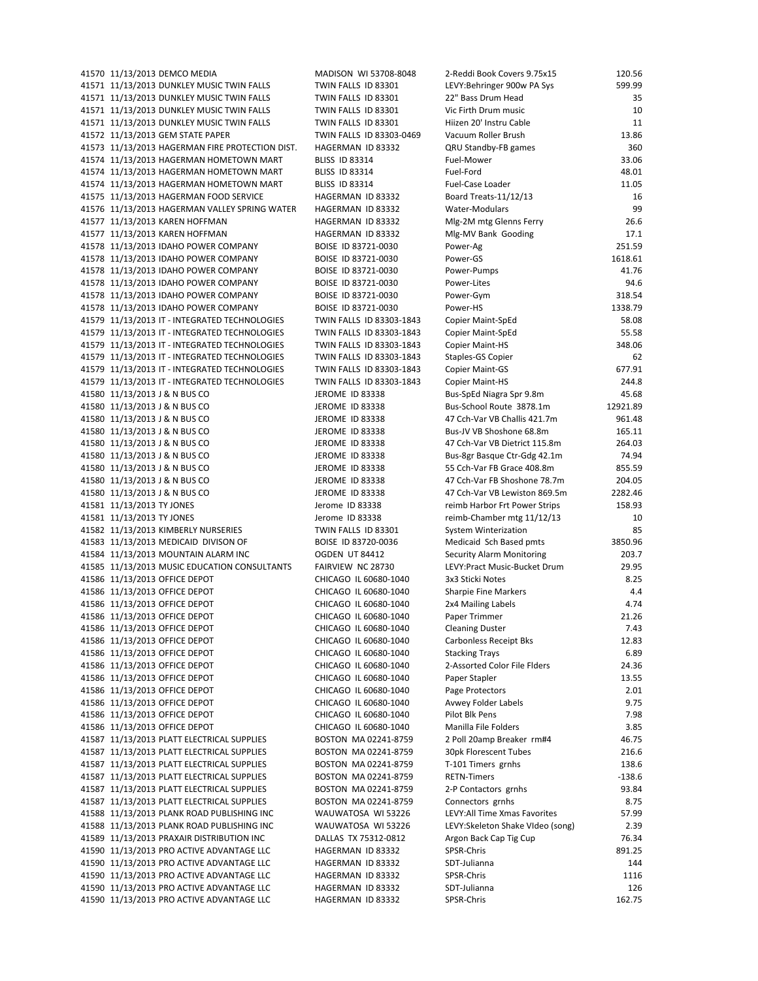41570 11/13/2013 DEMCO MEDIA MADISON MI 53708-8048 41571 11/13/2013 DUNKLEY MUSIC TWIN FALLS TWIN FALLS ID 83301 41571 11/13/2013 DUNKLEY MUSIC TWIN FALLS TWIN FALLS ID 83301 41571 11/13/2013 DUNKLEY MUSIC TWIN FALLS TWIN FALLS ID 83301 41571 11/13/2013 DUNKLEY MUSIC TWIN FALLS TWIN FALLS ID 83301 41572 11/13/2013 GEM STATE PAPER TWIN FALLS ID 83303-0469 41573 11/13/2013 HAGERMAN FIRE PROTECTION DIST. HAGERMAN ID 83332 41574 11/13/2013 HAGERMAN HOMETOWN MART BLISS ID 83314 41574 11/13/2013 HAGERMAN HOMETOWN MART BLISS ID 83314 41574 11/13/2013 HAGERMAN HOMETOWN MART BLISS ID 83314 41575 11/13/2013 HAGERMAN FOOD SERVICE HAGERMAN ID 83332 41576 11/13/2013 HAGERMAN VALLEY SPRING WATER HAGERMAN ID 83332 41577 11/13/2013 KAREN HOFFMAN HAGERMAN ID 83332 41577 11/13/2013 KAREN HOFFMAN **HAGERMAN ID 83332** 41578 11/13/2013 IDAHO POWER COMPANY BOISE ID 83721-0030 41578 11/13/2013 IDAHO POWER COMPANY BOISE ID 83721-0030 41578 11/13/2013 IDAHO POWER COMPANY BOISE ID 83721-0030 41578 11/13/2013 IDAHO POWER COMPANY BOISE ID 83721-0030 41578 11/13/2013 IDAHO POWER COMPANY BOISE ID 83721-0030 41578 11/13/2013 IDAHO POWER COMPANY BOISE ID 83721-0030 41579 11/13/2013 IT - INTEGRATED TECHNOLOGIES TWIN FALLS ID 83303-1843 41579 11/13/2013 IT - INTEGRATED TECHNOLOGIES TWIN FALLS ID 83303-1843 41579 11/13/2013 IT - INTEGRATED TECHNOLOGIES TWIN FALLS ID 83303-1843 41579 11/13/2013 IT - INTEGRATED TECHNOLOGIES TWIN FALLS ID 83303-1843 41579 11/13/2013 IT - INTEGRATED TECHNOLOGIES TWIN FALLS ID 83303-1843 41579 11/13/2013 IT - INTEGRATED TECHNOLOGIES TWIN FALLS ID 83303-1843 41580 11/13/2013 J & N BUS CO JEROME ID 83338 41580 11/13/2013 J & N BUS CO JEROME ID 83338 41580 11/13/2013 J & N BUS CO JEROME ID 83338 41580 11/13/2013 J & N BUS CO JEROME ID 83338 41580 11/13/2013 J & N BUS CO JEROME ID 83338 41580 11/13/2013 J & N BUS CO JEROME ID 83338 41580 11/13/2013 J & N BUS CO JEROME ID 83338 41580 11/13/2013 J & N BUS CO JEROME ID 83338 41580 11/13/2013 J & N BUS CO JEROME ID 83338 41581 11/13/2013 TY JONES Jerome ID 83338 41581 11/13/2013 TY JONES Jerome ID 83338 41582 11/13/2013 KIMBERLY NURSERIES TWIN FALLS ID 83301 41583 11/13/2013 MEDICAID DIVISON OF BOISE ID 83720-0036 41584 11/13/2013 MOUNTAIN ALARM INC OGDEN UT 84412 Security Alarm Monitoring 203.7 41585 11/13/2013 MUSIC EDUCATION CONSULTANTS FAIRVIEW NC 28730 41586 11/13/2013 OFFICE DEPOT CHICAGO IL 60680-1040 41586 11/13/2013 OFFICE DEPOT CHICAGO IL 60680-1040 41586 11/13/2013 OFFICE DEPOT CHICAGO IL 60680-1040 41586 11/13/2013 OFFICE DEPOT CHICAGO IL 60680-1040 41586 11/13/2013 OFFICE DEPOT CHICAGO IL 60680-1040 41586 11/13/2013 OFFICE DEPOT CHICAGO IL 60680-1040 41586 11/13/2013 OFFICE DEPOT CHICAGO IL 60680-1040 41586 11/13/2013 OFFICE DEPOT CHICAGO IL 60680-1040 41586 11/13/2013 OFFICE DEPOT CHICAGO IL 60680-1040 41586 11/13/2013 OFFICE DEPOT CHICAGO IL 60680-1040 41586 11/13/2013 OFFICE DEPOT CHICAGO IL 60680-1040 41586 11/13/2013 OFFICE DEPOT CHICAGO IL 60680-1040 41586 11/13/2013 OFFICE DEPOT CHICAGO IL 60680-1040 41587 11/13/2013 PLATT ELECTRICAL SUPPLIES BOSTON MA 02241-8759 41587 11/13/2013 PLATT ELECTRICAL SUPPLIES BOSTON MA 02241-8759 41587 11/13/2013 PLATT ELECTRICAL SUPPLIES BOSTON MA 02241-8759 41587 11/13/2013 PLATT ELECTRICAL SUPPLIES BOSTON MA 02241-8759 41587 11/13/2013 PLATT ELECTRICAL SUPPLIES BOSTON MA 02241-8759 41587 11/13/2013 PLATT ELECTRICAL SUPPLIES BOSTON MA 02241-8759 41588 11/13/2013 PLANK ROAD PUBLISHING INC WAUWATOSA WI 53226 41588 11/13/2013 PLANK ROAD PUBLISHING INC WAUWATOSA WI 53226 41589 11/13/2013 PRAXAIR DISTRIBUTION INC DALLAS TX 75312-0812 41590 11/13/2013 PRO ACTIVE ADVANTAGE LLC HAGERMAN ID 83332 41590 11/13/2013 PRO ACTIVE ADVANTAGE LLC HAGERMAN ID 83332 41590 11/13/2013 PRO ACTIVE ADVANTAGE LLC HAGERMAN ID 83332 41590 11/13/2013 PRO ACTIVE ADVANTAGE LLC HAGERMAN ID 83332 41590 11/13/2013 PRO ACTIVE ADVANTAGE LLC HAGERMAN ID 83332

| 2-Reddi Book Covers 9.75x15                        | 120.56      |
|----------------------------------------------------|-------------|
| LEVY: Behringer 900w PA Sys                        | 599.99      |
| 22" Bass Drum Head                                 | 35          |
| Vic Firth Drum music                               | 10          |
| Hiizen 20' Instru Cable                            | 11          |
| Vacuum Roller Brush                                | 13.86       |
| QRU Standby-FB games                               | 360         |
| Fuel-Mower                                         | 33.06       |
| Fuel-Ford                                          | 48.01       |
| Fuel-Case Loader                                   | 11.05<br>16 |
| Board Treats-11/12/13<br>Water-Modulars            | 99          |
| Mlg-2M mtg Glenns Ferry                            | 26.6        |
| Mlg-MV Bank Gooding                                | 17.1        |
| Power-Ag                                           | 251.59      |
| Power-GS                                           | 1618.61     |
| Power-Pumps                                        | 41.76       |
| Power-Lites                                        | 94.6        |
| Power-Gym                                          | 318.54      |
| Power-HS                                           | 1338.79     |
| <b>Copier Maint-SpEd</b>                           | 58.08       |
| Copier Maint-SpEd                                  | 55.58       |
| <b>Copier Maint-HS</b>                             | 348.06      |
| <b>Staples-GS Copier</b>                           | 62          |
| <b>Copier Maint-GS</b>                             | 677.91      |
| <b>Copier Maint-HS</b>                             | 244.8       |
| Bus-SpEd Niagra Spr 9.8m                           | 45.68       |
| Bus-School Route 3878.1m                           | 12921.89    |
| 47 Cch-Var VB Challis 421.7m                       | 961.48      |
| Bus-JV VB Shoshone 68.8m                           | 165.11      |
| 47 Cch-Var VB Dietrict 115.8m                      | 264.03      |
| Bus-8gr Basque Ctr-Gdg 42.1m                       | 74.94       |
| 55 Cch-Var FB Grace 408.8m                         | 855.59      |
| 47 Cch-Var FB Shoshone 78.7m                       | 204.05      |
| 47 Cch-Var VB Lewiston 869.5m                      | 2282.46     |
| reimb Harbor Frt Power Strips                      | 158.93      |
| reimb-Chamber mtg 11/12/13<br>System Winterization | 10<br>85    |
| Medicaid Sch Based pmts                            | 3850.96     |
| <b>Security Alarm Monitoring</b>                   | 203.7       |
| LEVY:Pract Music-Bucket Drum                       | 29.95       |
| 3x3 Sticki Notes                                   | 8.25        |
| <b>Sharpie Fine Markers</b>                        | 4.4         |
| 2x4 Mailing Labels                                 | 4.74        |
| Paper Trimmer                                      | 21.26       |
| <b>Cleaning Duster</b>                             | 7.43        |
| <b>Carbonless Receipt Bks</b>                      | 12.83       |
| <b>Stacking Trays</b>                              | 6.89        |
| 2-Assorted Color File Flders                       | 24.36       |
| Paper Stapler                                      | 13.55       |
| Page Protectors                                    | 2.01        |
| Avwey Folder Labels                                | 9.75        |
| Pilot Blk Pens                                     | 7.98        |
| Manilla File Folders                               | 3.85        |
| 2 Poll 20amp Breaker rm#4                          | 46.75       |
| 30pk Florescent Tubes                              | 216.6       |
| T-101 Timers grnhs                                 | 138.6       |
| <b>RETN-Timers</b>                                 | $-138.6$    |
| 2-P Contactors grnhs                               | 93.84       |
| Connectors grnhs                                   | 8.75        |
| LEVY:All Time Xmas Favorites                       | 57.99       |
| LEVY:Skeleton Shake VIdeo (song)                   | 2.39        |
| Argon Back Cap Tig Cup                             | 76.34       |
| SPSR-Chris                                         | 891.25      |
| SDT-Julianna<br>SPSR-Chris                         | 144<br>1116 |
| SDT-Julianna                                       | 126         |
| SPSR-Chris                                         | 162.75      |
|                                                    |             |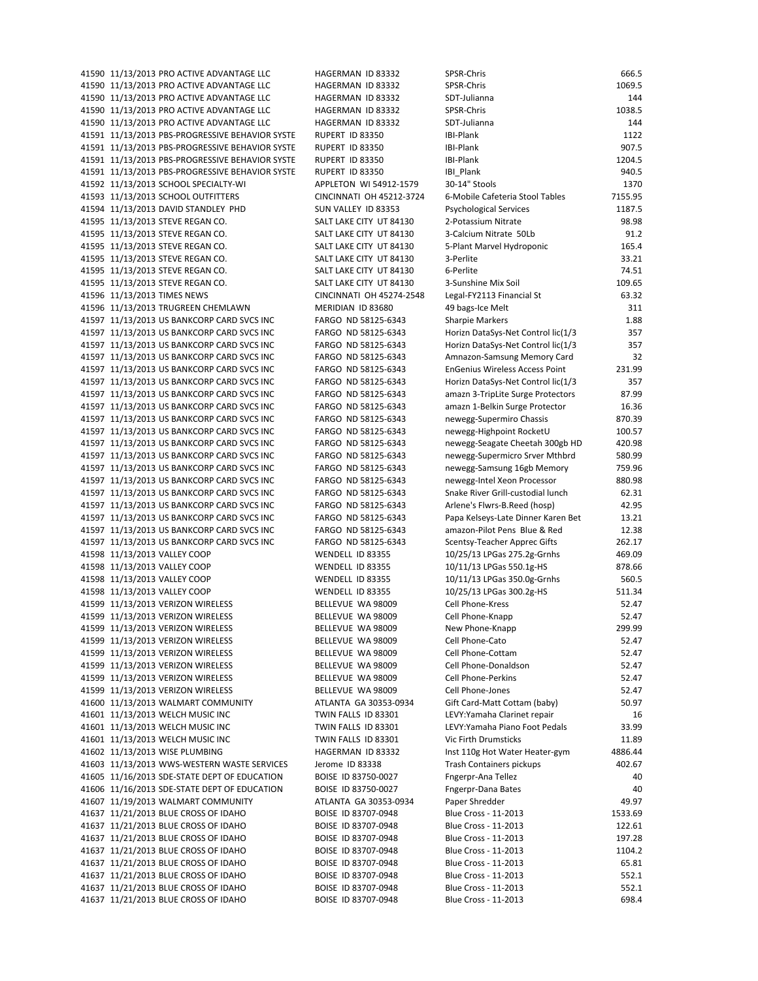41590 11/13/2013 PRO ACTIVE ADVANTAGE LLC HAGERMAN ID 83332 41590 11/13/2013 PRO ACTIVE ADVANTAGE LLC HAGERMAN ID 83332 41590 11/13/2013 PRO ACTIVE ADVANTAGE LLC HAGERMAN ID 83332 41590 11/13/2013 PRO ACTIVE ADVANTAGE LLC HAGERMAN ID 83332 41590 11/13/2013 PRO ACTIVE ADVANTAGE LLC HAGERMAN ID 83332 41591 11/13/2013 PBS-PROGRESSIVE BEHAVIOR SYSTE RUPERT ID 83350 41591 11/13/2013 PBS-PROGRESSIVE BEHAVIOR SYSTE RUPERT ID 83350 41591 11/13/2013 PBS-PROGRESSIVE BEHAVIOR SYSTE RUPERT ID 83350 41591 11/13/2013 PBS-PROGRESSIVE BEHAVIOR SYSTE RUPERT ID 83350 41592 11/13/2013 SCHOOL SPECIALTY-WI APPLETON WI 54912-1579 41593 11/13/2013 SCHOOL OUTFITTERS CINCINNATI OH 45212-3724 41594 11/13/2013 DAVID STANDLEY PHD SUN VALLEY ID 83353 41595 11/13/2013 STEVE REGAN CO. SALT LAKE CITY UT 84130 41595 11/13/2013 STEVE REGAN CO. SALT LAKE CITY UT 84130 41595 11/13/2013 STEVE REGAN CO. SALT LAKE CITY UT 84130 41595 11/13/2013 STEVE REGAN CO. SALT LAKE CITY UT 84130 41595 11/13/2013 STEVE REGAN CO. SALT LAKE CITY UT 84130 41595 11/13/2013 STEVE REGAN CO. SALT LAKE CITY UT 84130 41596 11/13/2013 TIMES NEWS CINCINNATI OH 45274-2548 41596 11/13/2013 TRUGREEN CHEMLAWN MERIDIAN ID 83680 41597 11/13/2013 US BANKCORP CARD SVCS INC FARGO ND 58125-6343 41597 11/13/2013 US BANKCORP CARD SVCS INC FARGO ND 58125-6343 41597 11/13/2013 US BANKCORP CARD SVCS INC FARGO ND 58125-6343 41597 11/13/2013 US BANKCORP CARD SVCS INC FARGO ND 58125-6343 41597 11/13/2013 US BANKCORP CARD SVCS INC FARGO ND 58125-6343 41597 11/13/2013 US BANKCORP CARD SVCS INC FARGO ND 58125-6343 41597 11/13/2013 US BANKCORP CARD SVCS INC FARGO ND 58125-6343 41597 11/13/2013 US BANKCORP CARD SVCS INC FARGO ND 58125-6343 41597 11/13/2013 US BANKCORP CARD SVCS INC FARGO ND 58125-6343 41597 11/13/2013 US BANKCORP CARD SVCS INC FARGO ND 58125-6343 41597 11/13/2013 US BANKCORP CARD SVCS INC FARGO ND 58125-6343 41597 11/13/2013 US BANKCORP CARD SVCS INC FARGO ND 58125-6343 41597 11/13/2013 US BANKCORP CARD SVCS INC FARGO ND 58125-6343 41597 11/13/2013 US BANKCORP CARD SVCS INC FARGO ND 58125-6343 41597 11/13/2013 US BANKCORP CARD SVCS INC FARGO ND 58125-6343 41597 11/13/2013 US BANKCORP CARD SVCS INC FARGO ND 58125-6343 41597 11/13/2013 US BANKCORP CARD SVCS INC FARGO ND 58125-6343 41597 11/13/2013 US BANKCORP CARD SVCS INC FARGO ND 58125-6343 41597 11/13/2013 US BANKCORP CARD SVCS INC FARGO ND 58125-6343 41598 11/13/2013 VALLEY COOP WENDELL ID 83355 41598 11/13/2013 VALLEY COOP WENDELL ID 83355 41598 11/13/2013 VALLEY COOP WENDELL ID 83355 41598 11/13/2013 VALLEY COOP WENDELL ID 83355 41599 11/13/2013 VERIZON WIRELESS BELLEVUE WA 98009 41599 11/13/2013 VERIZON WIRELESS BELLEVUE WA 98009 41599 11/13/2013 VERIZON WIRELESS BELLEVUE WA 98009 41599 11/13/2013 VERIZON WIRELESS BELLEVUE WA 98009 41599 11/13/2013 VERIZON WIRELESS BELLEVUE WA 98009 41599 11/13/2013 VERIZON WIRELESS BELLEVUE WA 98009 41599 11/13/2013 VERIZON WIRELESS BELLEVUE WA 98009 41599 11/13/2013 VERIZON WIRELESS BELLEVUE WA 98009 41600 11/13/2013 WALMART COMMUNITY ATLANTA GA 30353-0934 41601 11/13/2013 WELCH MUSIC INC TWIN FALLS ID 83301 41601 11/13/2013 WELCH MUSIC INC TWIN FALLS ID 83301 41601 11/13/2013 WELCH MUSIC INC TWIN FALLS ID 83301 41602 11/13/2013 WISE PLUMBING HAGERMAN ID 83332 41603 11/13/2013 WWS-WESTERN WASTE SERVICES Jerome ID 83338 41605 11/16/2013 SDE-STATE DEPT OF EDUCATION BOISE ID 83750-0027 41606 11/16/2013 SDE-STATE DEPT OF EDUCATION BOISE ID 83750-0027 41607 11/19/2013 WALMART COMMUNITY ATLANTA GA 30353-0934 41637 11/21/2013 BLUE CROSS OF IDAHO BOISE ID 83707-0948 41637 11/21/2013 BLUE CROSS OF IDAHO BOISE ID 83707-0948 41637 11/21/2013 BLUE CROSS OF IDAHO BOISE ID 83707-0948 41637 11/21/2013 BLUE CROSS OF IDAHO BOISE ID 83707-0948 41637 11/21/2013 BLUE CROSS OF IDAHO BOISE ID 83707-0948 41637 11/21/2013 BLUE CROSS OF IDAHO BOISE ID 83707-0948 41637 11/21/2013 BLUE CROSS OF IDAHO BOISE ID 83707-0948 41637 11/21/2013 BLUE CROSS OF IDAHO BOISE ID 83707-0948

| SPSR-Chris                                                              | 666.5             |
|-------------------------------------------------------------------------|-------------------|
| SPSR-Chris                                                              | 1069.5            |
| SDT-Julianna                                                            | 144               |
| SPSR-Chris                                                              | 1038.5<br>144     |
| SDT-Julianna<br><b>IBI-Plank</b>                                        | 1122              |
| <b>IBI-Plank</b>                                                        | 907.5             |
| <b>BI-Plank</b>                                                         | 1204.5            |
| IBI Plank                                                               | 940.5             |
| 30-14" Stools                                                           | 1370              |
| 6-Mobile Cafeteria Stool Tables                                         | 7155.95           |
| Psychological Services                                                  | 1187.5            |
| 2-Potassium Nitrate                                                     | 98.98             |
| 3-Calcium Nitrate 50Lb                                                  | 91.2              |
| 5-Plant Marvel Hydroponic<br>3-Perlite                                  | 165.4<br>33.21    |
| 6-Perlite                                                               | 74.51             |
| 3-Sunshine Mix Soil                                                     | 109.65            |
| Legal-FY2113 Financial St                                               | 63.32             |
| 49 bags-Ice Melt                                                        | 311               |
| Sharpie Markers                                                         | 1.88              |
| Horizn DataSys-Net Control lic(1/3                                      | 357               |
| Horizn DataSys-Net Control lic(1/3                                      | 357               |
| Amnazon-Samsung Memory Card                                             | 32                |
| EnGenius Wireless Access Point                                          | 231.99            |
| Horizn DataSys-Net Control lic(1/3<br>amazn 3-TripLite Surge Protectors | 357<br>87.99      |
| amazn 1-Belkin Surge Protector                                          | 16.36             |
| newegg-Supermiro Chassis                                                | 870.39            |
| newegg-Highpoint RocketU                                                | 100.57            |
| newegg-Seagate Cheetah 300gb HD                                         | 420.98            |
| newegg-Supermicro Srver Mthbrd                                          | 580.99            |
| newegg-Samsung 16gb Memory                                              | 759.96            |
| newegg-Intel Xeon Processor                                             | 880.98            |
| Snake River Grill-custodial lunch                                       | 62.31             |
| Arlene's Flwrs-B.Reed (hosp)                                            | 42.95<br>13.21    |
| Papa Kelseys-Late Dinner Karen Bet<br>amazon-Pilot Pens Blue & Red      | 12.38             |
| Scentsy-Teacher Apprec Gifts                                            | 262.17            |
| 10/25/13 LPGas 275.2g-Grnhs                                             | 469.09            |
| 10/11/13 LPGas 550.1g-HS                                                | 878.66            |
| 10/11/13 LPGas 350.0g-Grnhs                                             | 560.5             |
| 10/25/13 LPGas 300.2g-HS                                                | 511.34            |
| Cell Phone-Kress                                                        | 52.47             |
| Cell Phone-Knapp                                                        | 52.47             |
| New Phone-Knapp<br>Cell Phone-Cato                                      | 299.99<br>52.47   |
| Cell Phone-Cottam                                                       | 52.47             |
| Cell Phone-Donaldson                                                    | 52.47             |
| Cell Phone-Perkins                                                      | 52.47             |
| Cell Phone-Jones                                                        | 52.47             |
| Gift Card-Matt Cottam (baby)                                            | 50.97             |
| LEVY:Yamaha Clarinet repair                                             | 16                |
| LEVY:Yamaha Piano Foot Pedals                                           | 33.99             |
| Vic Firth Drumsticks                                                    | 11.89             |
| Inst 110g Hot Water Heater-gym<br>Trash Containers pickups              | 4886.44<br>402.67 |
| Fngerpr-Ana Tellez                                                      | 40                |
| Fngerpr-Dana Bates                                                      | 40                |
| Paper Shredder                                                          | 49.97             |
| Blue Cross - 11-2013                                                    | 1533.69           |
| Blue Cross - 11-2013                                                    | 122.61            |
| Blue Cross - 11-2013                                                    | 197.28            |
| Blue Cross - 11-2013                                                    | 1104.2            |
| Blue Cross - 11-2013                                                    | 65.81             |
| Blue Cross - 11-2013                                                    | 552.1             |
| Blue Cross - 11-2013<br>Blue Cross - 11-2013                            | 552.1<br>698.4    |
|                                                                         |                   |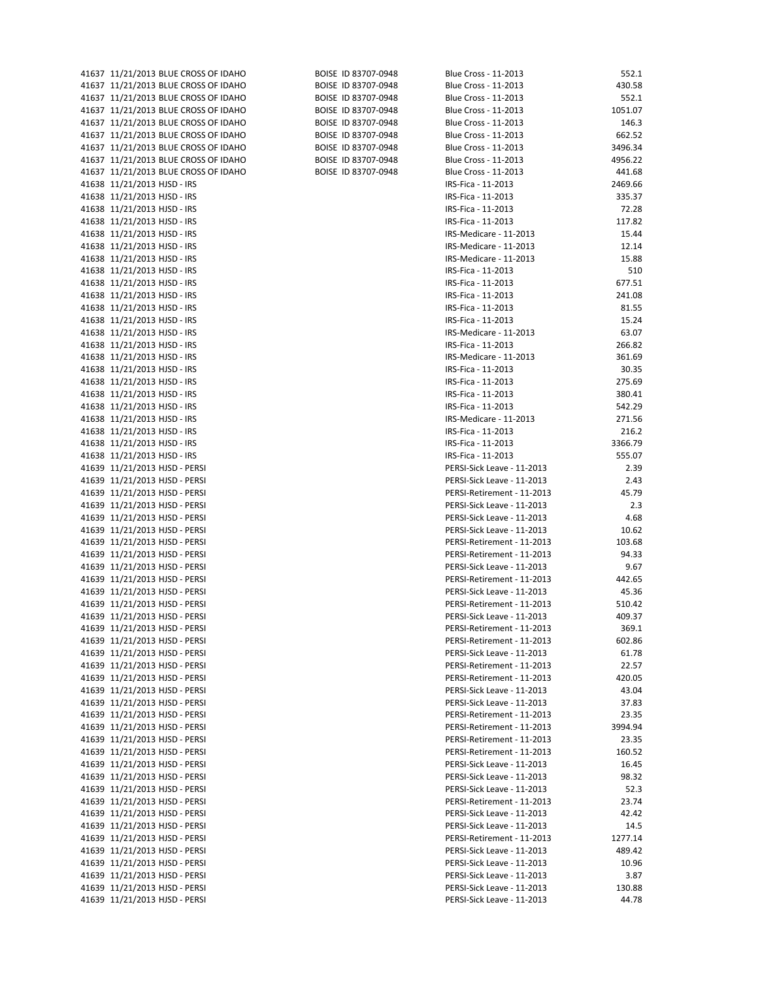| 41637 11/21/2013 BLUE CROSS OF IDAHO | BOISE ID 83707-0948 | Blue Cross - 11-2013       | 552.1   |
|--------------------------------------|---------------------|----------------------------|---------|
| 41637 11/21/2013 BLUE CROSS OF IDAHO | BOISE ID 83707-0948 | Blue Cross - 11-2013       | 430.58  |
| 41637 11/21/2013 BLUE CROSS OF IDAHO | BOISE ID 83707-0948 | Blue Cross - 11-2013       | 552.1   |
| 41637 11/21/2013 BLUE CROSS OF IDAHO | BOISE ID 83707-0948 | Blue Cross - 11-2013       | 1051.07 |
| 41637 11/21/2013 BLUE CROSS OF IDAHO | BOISE ID 83707-0948 | Blue Cross - 11-2013       | 146.3   |
| 41637 11/21/2013 BLUE CROSS OF IDAHO | BOISE ID 83707-0948 | Blue Cross - 11-2013       | 662.52  |
|                                      |                     |                            |         |
| 41637 11/21/2013 BLUE CROSS OF IDAHO | BOISE ID 83707-0948 | Blue Cross - 11-2013       | 3496.34 |
| 41637 11/21/2013 BLUE CROSS OF IDAHO | BOISE ID 83707-0948 | Blue Cross - 11-2013       | 4956.22 |
| 41637 11/21/2013 BLUE CROSS OF IDAHO | BOISE ID 83707-0948 | Blue Cross - 11-2013       | 441.68  |
| 41638 11/21/2013 HJSD - IRS          |                     | IRS-Fica - 11-2013         | 2469.66 |
| 41638 11/21/2013 HJSD - IRS          |                     | IRS-Fica - 11-2013         | 335.37  |
|                                      |                     |                            | 72.28   |
| 41638 11/21/2013 HJSD - IRS          |                     | IRS-Fica - 11-2013         |         |
| 41638 11/21/2013 HJSD - IRS          |                     | IRS-Fica - 11-2013         | 117.82  |
| 41638 11/21/2013 HJSD - IRS          |                     | IRS-Medicare - 11-2013     | 15.44   |
| 41638 11/21/2013 HJSD - IRS          |                     | IRS-Medicare - 11-2013     | 12.14   |
| 41638 11/21/2013 HJSD - IRS          |                     | IRS-Medicare - 11-2013     | 15.88   |
| 41638 11/21/2013 HJSD - IRS          |                     | IRS-Fica - 11-2013         | 510     |
|                                      |                     |                            |         |
| 41638 11/21/2013 HJSD - IRS          |                     | IRS-Fica - 11-2013         | 677.51  |
| 41638 11/21/2013 HJSD - IRS          |                     | IRS-Fica - 11-2013         | 241.08  |
| 41638 11/21/2013 HJSD - IRS          |                     | IRS-Fica - 11-2013         | 81.55   |
| 41638 11/21/2013 HJSD - IRS          |                     | IRS-Fica - 11-2013         | 15.24   |
| 41638 11/21/2013 HJSD - IRS          |                     | IRS-Medicare - 11-2013     | 63.07   |
| 41638 11/21/2013 HJSD - IRS          |                     | IRS-Fica - 11-2013         | 266.82  |
|                                      |                     |                            |         |
| 41638 11/21/2013 HJSD - IRS          |                     | IRS-Medicare - 11-2013     | 361.69  |
| 41638 11/21/2013 HJSD - IRS          |                     | IRS-Fica - 11-2013         | 30.35   |
| 41638 11/21/2013 HJSD - IRS          |                     | IRS-Fica - 11-2013         | 275.69  |
| 41638 11/21/2013 HJSD - IRS          |                     | IRS-Fica - 11-2013         | 380.41  |
| 41638 11/21/2013 HJSD - IRS          |                     | IRS-Fica - 11-2013         | 542.29  |
|                                      |                     | IRS-Medicare - 11-2013     |         |
| 41638 11/21/2013 HJSD - IRS          |                     |                            | 271.56  |
| 41638 11/21/2013 HJSD - IRS          |                     | IRS-Fica - 11-2013         | 216.2   |
| 41638 11/21/2013 HJSD - IRS          |                     | IRS-Fica - 11-2013         | 3366.79 |
| 41638 11/21/2013 HJSD - IRS          |                     | IRS-Fica - 11-2013         | 555.07  |
| 41639 11/21/2013 HJSD - PERSI        |                     | PERSI-Sick Leave - 11-2013 | 2.39    |
| 41639 11/21/2013 HJSD - PERSI        |                     | PERSI-Sick Leave - 11-2013 | 2.43    |
|                                      |                     |                            |         |
| 41639 11/21/2013 HJSD - PERSI        |                     | PERSI-Retirement - 11-2013 | 45.79   |
| 41639 11/21/2013 HJSD - PERSI        |                     | PERSI-Sick Leave - 11-2013 | 2.3     |
| 41639 11/21/2013 HJSD - PERSI        |                     | PERSI-Sick Leave - 11-2013 | 4.68    |
| 41639 11/21/2013 HJSD - PERSI        |                     | PERSI-Sick Leave - 11-2013 | 10.62   |
| 41639 11/21/2013 HJSD - PERSI        |                     | PERSI-Retirement - 11-2013 | 103.68  |
| 41639 11/21/2013 HJSD - PERSI        |                     | PERSI-Retirement - 11-2013 |         |
|                                      |                     |                            | 94.33   |
| 41639 11/21/2013 HJSD - PERSI        |                     | PERSI-Sick Leave - 11-2013 | 9.67    |
| 41639 11/21/2013 HJSD - PERSI        |                     | PERSI-Retirement - 11-2013 | 442.65  |
| 41639 11/21/2013 HJSD - PERSI        |                     | PERSI-Sick Leave - 11-2013 | 45.36   |
| 41639 11/21/2013 HJSD - PERSI        |                     | PERSI-Retirement - 11-2013 | 510.42  |
| 41639 11/21/2013 HJSD - PERSI        |                     | PERSI-Sick Leave - 11-2013 | 409.37  |
|                                      |                     |                            |         |
| 41639 11/21/2013 HJSD - PERSI        |                     | PERSI-Retirement - 11-2013 | 369.1   |
| 41639 11/21/2013 HJSD - PERSI        |                     | PERSI-Retirement - 11-2013 | 602.86  |
| 41639 11/21/2013 HJSD - PERSI        |                     | PERSI-Sick Leave - 11-2013 | 61.78   |
| 41639 11/21/2013 HJSD - PERSI        |                     | PERSI-Retirement - 11-2013 | 22.57   |
| 41639 11/21/2013 HJSD - PERSI        |                     | PERSI-Retirement - 11-2013 | 420.05  |
| 41639 11/21/2013 HJSD - PERSI        |                     | PERSI-Sick Leave - 11-2013 | 43.04   |
|                                      |                     |                            |         |
| 41639 11/21/2013 HJSD - PERSI        |                     | PERSI-Sick Leave - 11-2013 | 37.83   |
| 41639 11/21/2013 HJSD - PERSI        |                     | PERSI-Retirement - 11-2013 | 23.35   |
| 41639 11/21/2013 HJSD - PERSI        |                     | PERSI-Retirement - 11-2013 | 3994.94 |
| 41639 11/21/2013 HJSD - PERSI        |                     | PERSI-Retirement - 11-2013 | 23.35   |
| 41639 11/21/2013 HJSD - PERSI        |                     | PERSI-Retirement - 11-2013 | 160.52  |
|                                      |                     | PERSI-Sick Leave - 11-2013 |         |
| 41639 11/21/2013 HJSD - PERSI        |                     |                            | 16.45   |
| 41639 11/21/2013 HJSD - PERSI        |                     | PERSI-Sick Leave - 11-2013 | 98.32   |
| 41639 11/21/2013 HJSD - PERSI        |                     | PERSI-Sick Leave - 11-2013 | 52.3    |
| 41639 11/21/2013 HJSD - PERSI        |                     | PERSI-Retirement - 11-2013 | 23.74   |
| 41639 11/21/2013 HJSD - PERSI        |                     | PERSI-Sick Leave - 11-2013 | 42.42   |
| 41639 11/21/2013 HJSD - PERSI        |                     | PERSI-Sick Leave - 11-2013 | 14.5    |
|                                      |                     |                            |         |
| 41639 11/21/2013 HJSD - PERSI        |                     | PERSI-Retirement - 11-2013 | 1277.14 |
| 41639 11/21/2013 HJSD - PERSI        |                     | PERSI-Sick Leave - 11-2013 | 489.42  |
| 41639 11/21/2013 HJSD - PERSI        |                     | PERSI-Sick Leave - 11-2013 | 10.96   |
| 41639 11/21/2013 HJSD - PERSI        |                     | PERSI-Sick Leave - 11-2013 | 3.87    |
| 41639 11/21/2013 HJSD - PERSI        |                     | PERSI-Sick Leave - 11-2013 | 130.88  |
| 41639 11/21/2013 HJSD - PERSI        |                     | PERSI-Sick Leave - 11-2013 | 44.78   |
|                                      |                     |                            |         |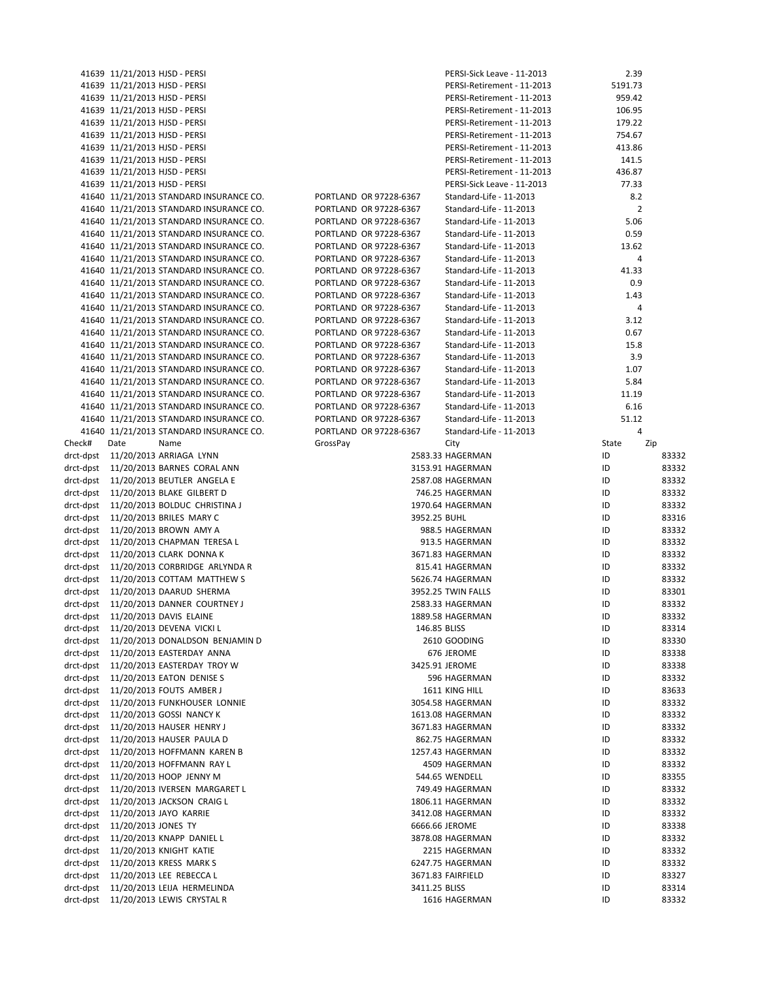|           | 41639 11/21/2013 HJSD - PERSI             |                        | PERSI-Sick Leave - 11-2013 | 2.39           |       |
|-----------|-------------------------------------------|------------------------|----------------------------|----------------|-------|
|           | 41639 11/21/2013 HJSD - PERSI             |                        | PERSI-Retirement - 11-2013 | 5191.73        |       |
|           |                                           |                        |                            |                |       |
|           | 41639 11/21/2013 HJSD - PERSI             |                        | PERSI-Retirement - 11-2013 | 959.42         |       |
|           | 41639 11/21/2013 HJSD - PERSI             |                        | PERSI-Retirement - 11-2013 | 106.95         |       |
|           | 41639 11/21/2013 HJSD - PERSI             |                        | PERSI-Retirement - 11-2013 | 179.22         |       |
|           | 41639 11/21/2013 HJSD - PERSI             |                        | PERSI-Retirement - 11-2013 | 754.67         |       |
|           | 41639 11/21/2013 HJSD - PERSI             |                        | PERSI-Retirement - 11-2013 | 413.86         |       |
|           | 41639 11/21/2013 HJSD - PERSI             |                        | PERSI-Retirement - 11-2013 | 141.5          |       |
|           | 41639 11/21/2013 HJSD - PERSI             |                        | PERSI-Retirement - 11-2013 | 436.87         |       |
|           | 41639 11/21/2013 HJSD - PERSI             |                        | PERSI-Sick Leave - 11-2013 | 77.33          |       |
|           | 41640 11/21/2013 STANDARD INSURANCE CO.   | PORTLAND OR 97228-6367 | Standard-Life - 11-2013    | 8.2            |       |
|           | 41640 11/21/2013 STANDARD INSURANCE CO.   | PORTLAND OR 97228-6367 | Standard-Life - 11-2013    | $\overline{2}$ |       |
|           |                                           |                        |                            |                |       |
|           | 41640 11/21/2013 STANDARD INSURANCE CO.   | PORTLAND OR 97228-6367 | Standard-Life - 11-2013    | 5.06           |       |
|           | 41640 11/21/2013 STANDARD INSURANCE CO.   | PORTLAND OR 97228-6367 | Standard-Life - 11-2013    | 0.59           |       |
|           | 41640 11/21/2013 STANDARD INSURANCE CO.   | PORTLAND OR 97228-6367 | Standard-Life - 11-2013    | 13.62          |       |
|           | 41640 11/21/2013 STANDARD INSURANCE CO.   | PORTLAND OR 97228-6367 | Standard-Life - 11-2013    | 4              |       |
|           | 41640 11/21/2013 STANDARD INSURANCE CO.   | PORTLAND OR 97228-6367 | Standard-Life - 11-2013    | 41.33          |       |
|           | 41640 11/21/2013 STANDARD INSURANCE CO.   | PORTLAND OR 97228-6367 | Standard-Life - 11-2013    | 0.9            |       |
|           | 41640 11/21/2013 STANDARD INSURANCE CO.   | PORTLAND OR 97228-6367 | Standard-Life - 11-2013    | 1.43           |       |
|           | 41640 11/21/2013 STANDARD INSURANCE CO.   | PORTLAND OR 97228-6367 | Standard-Life - 11-2013    | 4              |       |
|           | 41640 11/21/2013 STANDARD INSURANCE CO.   | PORTLAND OR 97228-6367 | Standard-Life - 11-2013    | 3.12           |       |
|           | 41640 11/21/2013 STANDARD INSURANCE CO.   | PORTLAND OR 97228-6367 | Standard-Life - 11-2013    | 0.67           |       |
|           | 41640 11/21/2013 STANDARD INSURANCE CO.   | PORTLAND OR 97228-6367 | Standard-Life - 11-2013    | 15.8           |       |
|           |                                           |                        |                            |                |       |
|           | 41640 11/21/2013 STANDARD INSURANCE CO.   | PORTLAND OR 97228-6367 | Standard-Life - 11-2013    | 3.9            |       |
|           | 41640 11/21/2013 STANDARD INSURANCE CO.   | PORTLAND OR 97228-6367 | Standard-Life - 11-2013    | 1.07           |       |
|           | 41640 11/21/2013 STANDARD INSURANCE CO.   | PORTLAND OR 97228-6367 | Standard-Life - 11-2013    | 5.84           |       |
|           | 41640 11/21/2013 STANDARD INSURANCE CO.   | PORTLAND OR 97228-6367 | Standard-Life - 11-2013    | 11.19          |       |
|           | 41640 11/21/2013 STANDARD INSURANCE CO.   | PORTLAND OR 97228-6367 | Standard-Life - 11-2013    | 6.16           |       |
|           | 41640 11/21/2013 STANDARD INSURANCE CO.   | PORTLAND OR 97228-6367 | Standard-Life - 11-2013    | 51.12          |       |
|           | 41640 11/21/2013 STANDARD INSURANCE CO.   | PORTLAND OR 97228-6367 | Standard-Life - 11-2013    | 4              |       |
| Check#    | Date<br>Name                              | GrossPay               | City                       | State<br>Zip   |       |
|           | drct-dpst 11/20/2013 ARRIAGA LYNN         |                        | 2583.33 HAGERMAN           | ID             | 83332 |
|           | drct-dpst 11/20/2013 BARNES CORAL ANN     |                        | 3153.91 HAGERMAN           | ID             | 83332 |
|           | drct-dpst 11/20/2013 BEUTLER ANGELA E     |                        | 2587.08 HAGERMAN           | ID             | 83332 |
|           |                                           |                        |                            |                |       |
|           | drct-dpst 11/20/2013 BLAKE GILBERT D      |                        | 746.25 HAGERMAN            | ID             | 83332 |
| drct-dpst | 11/20/2013 BOLDUC CHRISTINA J             |                        | 1970.64 HAGERMAN           | ID             | 83332 |
| drct-dpst | 11/20/2013 BRILES MARY C                  | 3952.25 BUHL           |                            | ID             | 83316 |
| drct-dpst | 11/20/2013 BROWN AMY A                    |                        | 988.5 HAGERMAN             | ID             | 83332 |
| drct-dpst | 11/20/2013 CHAPMAN TERESA L               |                        | 913.5 HAGERMAN             | ID             | 83332 |
| drct-dpst | 11/20/2013 CLARK DONNA K                  |                        | 3671.83 HAGERMAN           | ID             | 83332 |
| drct-dpst | 11/20/2013 CORBRIDGE ARLYNDA R            |                        | 815.41 HAGERMAN            | ID             | 83332 |
| drct-dpst | 11/20/2013 COTTAM MATTHEW S               |                        | 5626.74 HAGERMAN           | ID             | 83332 |
| drct-dpst | 11/20/2013 DAARUD SHERMA                  |                        | 3952.25 TWIN FALLS         | ID             | 83301 |
|           | drct-dpst 11/20/2013 DANNER COURTNEY J    |                        | 2583.33 HAGERMAN           | ID             | 83332 |
|           | drct-dpst 11/20/2013 DAVIS ELAINE         |                        | 1889.58 HAGERMAN           | ID             | 83332 |
|           |                                           |                        |                            |                |       |
|           | drct-dpst 11/20/2013 DEVENA VICKI L       | 146.85 BLISS           |                            | ID             | 83314 |
|           | drct-dpst 11/20/2013 DONALDSON BENJAMIN D |                        | 2610 GOODING               | ID             | 83330 |
|           | drct-dpst 11/20/2013 EASTERDAY ANNA       |                        | 676 JEROME                 | ID             | 83338 |
| drct-dpst | 11/20/2013 EASTERDAY TROY W               |                        | 3425.91 JEROME             | ID             | 83338 |
| drct-dpst | 11/20/2013 EATON DENISE S                 |                        | 596 HAGERMAN               | ID             | 83332 |
| drct-dpst | 11/20/2013 FOUTS AMBER J                  |                        | 1611 KING HILL             | ID             | 83633 |
| drct-dpst | 11/20/2013 FUNKHOUSER LONNIE              |                        | 3054.58 HAGERMAN           | ID             | 83332 |
| drct-dpst | 11/20/2013 GOSSI NANCY K                  |                        | 1613.08 HAGERMAN           | ID             | 83332 |
| drct-dpst | 11/20/2013 HAUSER HENRY J                 |                        | 3671.83 HAGERMAN           | ID             | 83332 |
| drct-dpst | 11/20/2013 HAUSER PAULA D                 |                        | 862.75 HAGERMAN            | ID             | 83332 |
|           | drct-dpst 11/20/2013 HOFFMANN KAREN B     |                        |                            | ID             | 83332 |
|           |                                           |                        | 1257.43 HAGERMAN           |                |       |
| drct-dpst | 11/20/2013 HOFFMANN RAY L                 |                        | 4509 HAGERMAN              | ID             | 83332 |
| drct-dpst | 11/20/2013 HOOP JENNY M                   |                        | 544.65 WENDELL             | ID             | 83355 |
| drct-dpst | 11/20/2013 IVERSEN MARGARET L             |                        | 749.49 HAGERMAN            | ID             | 83332 |
| drct-dpst | 11/20/2013 JACKSON CRAIG L                |                        | 1806.11 HAGERMAN           | ID             | 83332 |
| drct-dpst | 11/20/2013 JAYO KARRIE                    |                        | 3412.08 HAGERMAN           | ID             | 83332 |
| drct-dpst | 11/20/2013 JONES TY                       |                        | 6666.66 JEROME             | ID             | 83338 |
| drct-dpst | 11/20/2013 KNAPP DANIEL L                 |                        | 3878.08 HAGERMAN           | ID             | 83332 |
| drct-dpst | 11/20/2013 KNIGHT KATIE                   |                        | 2215 HAGERMAN              | ID             | 83332 |
| drct-dpst | 11/20/2013 KRESS MARK S                   |                        | 6247.75 HAGERMAN           | ID             | 83332 |
| drct-dpst | 11/20/2013 LEE REBECCA L                  |                        | 3671.83 FAIRFIELD          | ID             | 83327 |
| drct-dpst | 11/20/2013 LEIJA HERMELINDA               | 3411.25 BLISS          |                            | ID             | 83314 |
| drct-dpst |                                           |                        |                            | ID             |       |
|           | 11/20/2013 LEWIS CRYSTAL R                |                        | 1616 HAGERMAN              |                | 83332 |